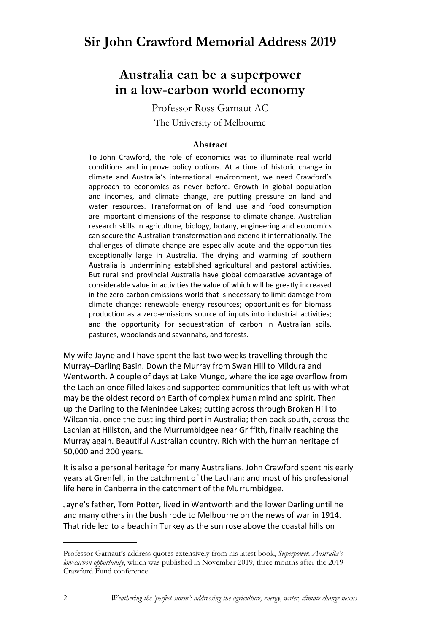# **Australia can be a superpower in a low-carbon world economy**

Professor Ross Garnaut AC The University of Melbourne

# **Abstract**

To John Crawford, the role of economics was to illuminate real world conditions and improve policy options. At a time of historic change in climate and Australia's international environment, we need Crawford's approach to economics as never before. Growth in global population and incomes, and climate change, are putting pressure on land and water resources. Transformation of land use and food consumption are important dimensions of the response to climate change. Australian research skills in agriculture, biology, botany, engineering and economics can secure the Australian transformation and extend it internationally. The challenges of climate change are especially acute and the opportunities exceptionally large in Australia. The drying and warming of southern Australia is undermining established agricultural and pastoral activities. But rural and provincial Australia have global comparative advantage of considerable value in activities the value of which will be greatly increased in the zero-carbon emissions world that is necessary to limit damage from climate change: renewable energy resources; opportunities for biomass production as a zero-emissions source of inputs into industrial activities; and the opportunity for sequestration of carbon in Australian soils, pastures, woodlands and savannahs, and forests.

My wife Jayne and I have spent the last two weeks travelling through the Murray–Darling Basin. Down the Murray from Swan Hill to Mildura and Wentworth. A couple of days at Lake Mungo, where the ice age overflow from the Lachlan once filled lakes and supported communities that left us with what may be the oldest record on Earth of complex human mind and spirit. Then up the Darling to the Menindee Lakes; cutting across through Broken Hill to Wilcannia, once the bustling third port in Australia; then back south, across the Lachlan at Hillston, and the Murrumbidgee near Griffith, finally reaching the Murray again. Beautiful Australian country. Rich with the human heritage of 50,000 and 200 years.

It is also a personal heritage for many Australians. John Crawford spent his early years at Grenfell, in the catchment of the Lachlan; and most of his professional life here in Canberra in the catchment of the Murrumbidgee.

Jayne's father, Tom Potter, lived in Wentworth and the lower Darling until he and many others in the bush rode to Melbourne on the news of war in 1914. That ride led to a beach in Turkey as the sun rose above the coastal hills on

Professor Garnaut's address quotes extensively from his latest book, *Superpower. Australia's low-carbon opportunity*, which was published in November 2019, three months after the 2019 Crawford Fund conference.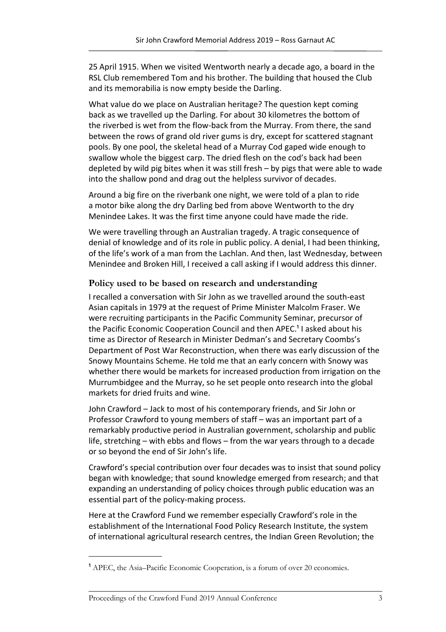25 April 1915. When we visited Wentworth nearly a decade ago, a board in the RSL Club remembered Tom and his brother. The building that housed the Club and its memorabilia is now empty beside the Darling.

What value do we place on Australian heritage? The question kept coming back as we travelled up the Darling. For about 30 kilometres the bottom of the riverbed is wet from the flow-back from the Murray. From there, the sand between the rows of grand old river gums is dry, except for scattered stagnant pools. By one pool, the skeletal head of a Murray Cod gaped wide enough to swallow whole the biggest carp. The dried flesh on the cod's back had been depleted by wild pig bites when it was still fresh – by pigs that were able to wade into the shallow pond and drag out the helpless survivor of decades.

Around a big fire on the riverbank one night, we were told of a plan to ride a motor bike along the dry Darling bed from above Wentworth to the dry Menindee Lakes. It was the first time anyone could have made the ride.

We were travelling through an Australian tragedy. A tragic consequence of denial of knowledge and of its role in public policy. A denial, I had been thinking, of the life's work of a man from the Lachlan. And then, last Wednesday, between Menindee and Broken Hill, I received a call asking if I would address this dinner.

## **Policy used to be based on research and understanding**

I recalled a conversation with Sir John as we travelled around the south-east Asian capitals in 1979 at the request of Prime Minister Malcolm Fraser. We were recruiting participants in the Pacific Community Seminar, precursor of the Pacific Economic Cooperation Council and then APEC.<sup>1</sup> I asked about his time as Director of Research in Minister Dedman's and Secretary Coombs's Department of Post War Reconstruction, when there was early discussion of the Snowy Mountains Scheme. He told me that an early concern with Snowy was whether there would be markets for increased production from irrigation on the Murrumbidgee and the Murray, so he set people onto research into the global markets for dried fruits and wine.

John Crawford – Jack to most of his contemporary friends, and Sir John or Professor Crawford to young members of staff – was an important part of a remarkably productive period in Australian government, scholarship and public life, stretching – with ebbs and flows – from the war years through to a decade or so beyond the end of Sir John's life.

Crawford's special contribution over four decades was to insist that sound policy began with knowledge; that sound knowledge emerged from research; and that expanding an understanding of policy choices through public education was an essential part of the policy-making process.

Here at the Crawford Fund we remember especially Crawford's role in the establishment of the International Food Policy Research Institute, the system of international agricultural research centres, the Indian Green Revolution; the

<sup>&</sup>lt;sup>1</sup> APEC, the Asia–Pacific Economic Cooperation, is a forum of over 20 economies.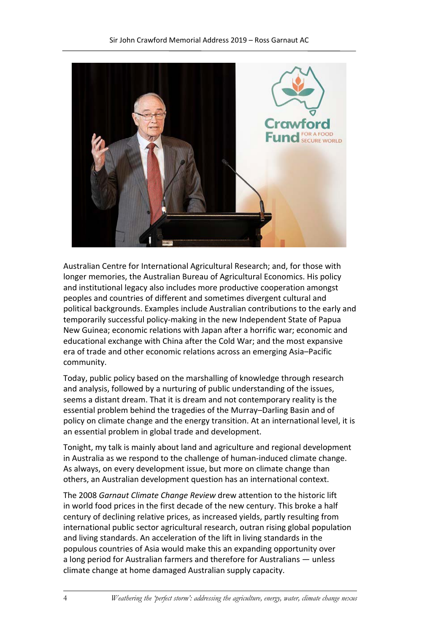

Australian Centre for International Agricultural Research; and, for those with longer memories, the Australian Bureau of Agricultural Economics. His policy and institutional legacy also includes more productive cooperation amongst peoples and countries of different and sometimes divergent cultural and political backgrounds. Examples include Australian contributions to the early and temporarily successful policy-making in the new Independent State of Papua New Guinea; economic relations with Japan after a horrific war; economic and educational exchange with China after the Cold War; and the most expansive era of trade and other economic relations across an emerging Asia–Pacific community.

Today, public policy based on the marshalling of knowledge through research and analysis, followed by a nurturing of public understanding of the issues, seems a distant dream. That it is dream and not contemporary reality is the essential problem behind the tragedies of the Murray–Darling Basin and of policy on climate change and the energy transition. At an international level, it is an essential problem in global trade and development.

Tonight, my talk is mainly about land and agriculture and regional development in Australia as we respond to the challenge of human-induced climate change. As always, on every development issue, but more on climate change than others, an Australian development question has an international context.

The 2008 *Garnaut Climate Change Review* drew attention to the historic lift in world food prices in the first decade of the new century. This broke a half century of declining relative prices, as increased yields, partly resulting from international public sector agricultural research, outran rising global population and living standards. An acceleration of the lift in living standards in the populous countries of Asia would make this an expanding opportunity over a long period for Australian farmers and therefore for Australians — unless climate change at home damaged Australian supply capacity.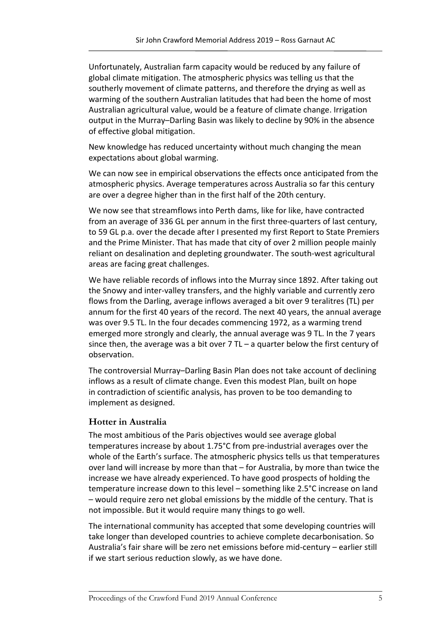Unfortunately, Australian farm capacity would be reduced by any failure of global climate mitigation. The atmospheric physics was telling us that the southerly movement of climate patterns, and therefore the drying as well as warming of the southern Australian latitudes that had been the home of most Australian agricultural value, would be a feature of climate change. Irrigation output in the Murray–Darling Basin was likely to decline by 90% in the absence of effective global mitigation.

New knowledge has reduced uncertainty without much changing the mean expectations about global warming.

We can now see in empirical observations the effects once anticipated from the atmospheric physics. Average temperatures across Australia so far this century are over a degree higher than in the first half of the 20th century.

We now see that streamflows into Perth dams, like for like, have contracted from an average of 336 GL per annum in the first three-quarters of last century, to 59 GL p.a. over the decade after I presented my first Report to State Premiers and the Prime Minister. That has made that city of over 2 million people mainly reliant on desalination and depleting groundwater. The south-west agricultural areas are facing great challenges.

We have reliable records of inflows into the Murray since 1892. After taking out the Snowy and inter-valley transfers, and the highly variable and currently zero flows from the Darling, average inflows averaged a bit over 9 teralitres (TL) per annum for the first 40 years of the record. The next 40 years, the annual average was over 9.5 TL. In the four decades commencing 1972, as a warming trend emerged more strongly and clearly, the annual average was 9 TL. In the 7 years since then, the average was a bit over  $7$  TL – a quarter below the first century of observation.

The controversial Murray–Darling Basin Plan does not take account of declining inflows as a result of climate change. Even this modest Plan, built on hope in contradiction of scientific analysis, has proven to be too demanding to implement as designed.

#### **Hotter in Australia**

The most ambitious of the Paris objectives would see average global temperatures increase by about 1.75°C from pre-industrial averages over the whole of the Earth's surface. The atmospheric physics tells us that temperatures over land will increase by more than that – for Australia, by more than twice the increase we have already experienced. To have good prospects of holding the temperature increase down to this level – something like 2.5°C increase on land – would require zero net global emissions by the middle of the century. That is not impossible. But it would require many things to go well.

The international community has accepted that some developing countries will take longer than developed countries to achieve complete decarbonisation. So Australia's fair share will be zero net emissions before mid-century – earlier still if we start serious reduction slowly, as we have done.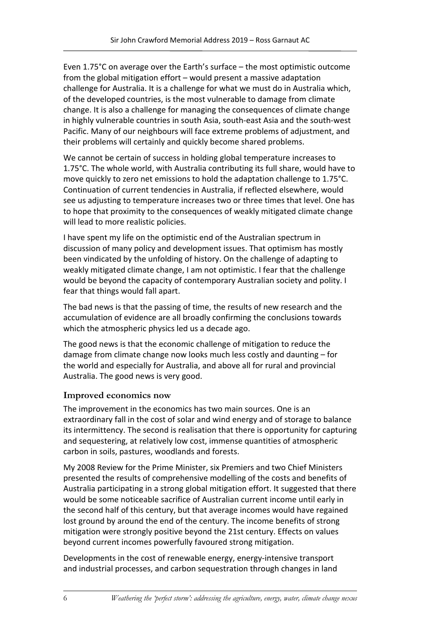Even 1.75°C on average over the Earth's surface – the most optimistic outcome from the global mitigation effort – would present a massive adaptation challenge for Australia. It is a challenge for what we must do in Australia which, of the developed countries, is the most vulnerable to damage from climate change. It is also a challenge for managing the consequences of climate change in highly vulnerable countries in south Asia, south-east Asia and the south-west Pacific. Many of our neighbours will face extreme problems of adjustment, and their problems will certainly and quickly become shared problems.

We cannot be certain of success in holding global temperature increases to 1.75°C. The whole world, with Australia contributing its full share, would have to move quickly to zero net emissions to hold the adaptation challenge to 1.75°C. Continuation of current tendencies in Australia, if reflected elsewhere, would see us adjusting to temperature increases two or three times that level. One has to hope that proximity to the consequences of weakly mitigated climate change will lead to more realistic policies.

I have spent my life on the optimistic end of the Australian spectrum in discussion of many policy and development issues. That optimism has mostly been vindicated by the unfolding of history. On the challenge of adapting to weakly mitigated climate change, I am not optimistic. I fear that the challenge would be beyond the capacity of contemporary Australian society and polity. I fear that things would fall apart.

The bad news is that the passing of time, the results of new research and the accumulation of evidence are all broadly confirming the conclusions towards which the atmospheric physics led us a decade ago.

The good news is that the economic challenge of mitigation to reduce the damage from climate change now looks much less costly and daunting – for the world and especially for Australia, and above all for rural and provincial Australia. The good news is very good.

# **Improved economics now**

The improvement in the economics has two main sources. One is an extraordinary fall in the cost of solar and wind energy and of storage to balance its intermittency. The second is realisation that there is opportunity for capturing and sequestering, at relatively low cost, immense quantities of atmospheric carbon in soils, pastures, woodlands and forests.

My 2008 Review for the Prime Minister, six Premiers and two Chief Ministers presented the results of comprehensive modelling of the costs and benefits of Australia participating in a strong global mitigation effort. It suggested that there would be some noticeable sacrifice of Australian current income until early in the second half of this century, but that average incomes would have regained lost ground by around the end of the century. The income benefits of strong mitigation were strongly positive beyond the 21st century. Effects on values beyond current incomes powerfully favoured strong mitigation.

Developments in the cost of renewable energy, energy-intensive transport and industrial processes, and carbon sequestration through changes in land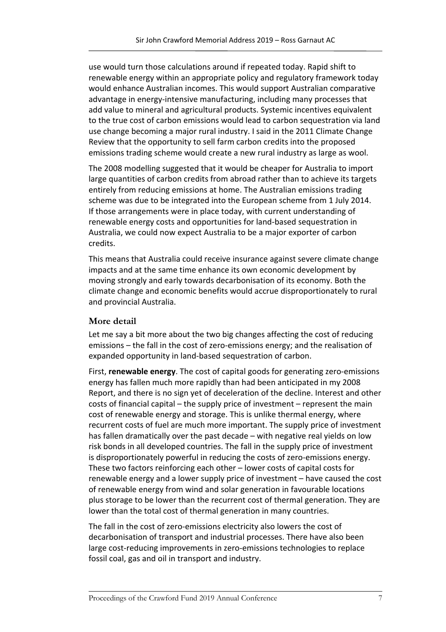use would turn those calculations around if repeated today. Rapid shift to renewable energy within an appropriate policy and regulatory framework today would enhance Australian incomes. This would support Australian comparative advantage in energy-intensive manufacturing, including many processes that add value to mineral and agricultural products. Systemic incentives equivalent to the true cost of carbon emissions would lead to carbon sequestration via land use change becoming a major rural industry. I said in the 2011 Climate Change Review that the opportunity to sell farm carbon credits into the proposed emissions trading scheme would create a new rural industry as large as wool.

The 2008 modelling suggested that it would be cheaper for Australia to import large quantities of carbon credits from abroad rather than to achieve its targets entirely from reducing emissions at home. The Australian emissions trading scheme was due to be integrated into the European scheme from 1 July 2014. If those arrangements were in place today, with current understanding of renewable energy costs and opportunities for land-based sequestration in Australia, we could now expect Australia to be a major exporter of carbon credits.

This means that Australia could receive insurance against severe climate change impacts and at the same time enhance its own economic development by moving strongly and early towards decarbonisation of its economy. Both the climate change and economic benefits would accrue disproportionately to rural and provincial Australia.

#### **More detail**

Let me say a bit more about the two big changes affecting the cost of reducing emissions – the fall in the cost of zero-emissions energy; and the realisation of expanded opportunity in land-based sequestration of carbon.

First, **renewable energy**. The cost of capital goods for generating zero-emissions energy has fallen much more rapidly than had been anticipated in my 2008 Report, and there is no sign yet of deceleration of the decline. Interest and other costs of financial capital – the supply price of investment – represent the main cost of renewable energy and storage. This is unlike thermal energy, where recurrent costs of fuel are much more important. The supply price of investment has fallen dramatically over the past decade – with negative real yields on low risk bonds in all developed countries. The fall in the supply price of investment is disproportionately powerful in reducing the costs of zero-emissions energy. These two factors reinforcing each other – lower costs of capital costs for renewable energy and a lower supply price of investment – have caused the cost of renewable energy from wind and solar generation in favourable locations plus storage to be lower than the recurrent cost of thermal generation. They are lower than the total cost of thermal generation in many countries.

The fall in the cost of zero-emissions electricity also lowers the cost of decarbonisation of transport and industrial processes. There have also been large cost-reducing improvements in zero-emissions technologies to replace fossil coal, gas and oil in transport and industry.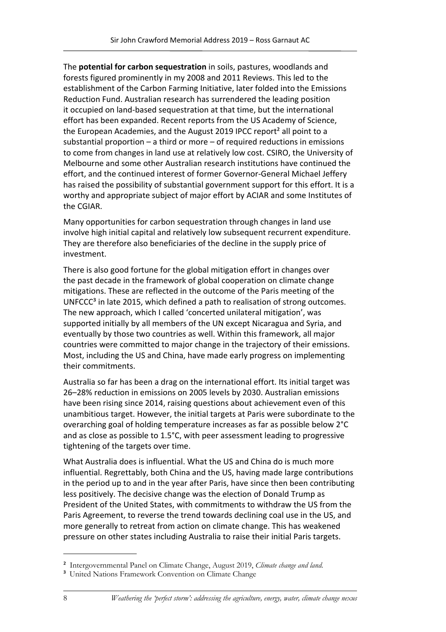The **potential for carbon sequestration** in soils, pastures, woodlands and forests figured prominently in my 2008 and 2011 Reviews. This led to the establishment of the Carbon Farming Initiative, later folded into the Emissions Reduction Fund. Australian research has surrendered the leading position it occupied on land-based sequestration at that time, but the international effort has been expanded. Recent reports from the US Academy of Science, the European Academies, and the August 2019 IPCC report<sup>2</sup> all point to a substantial proportion – a third or more – of required reductions in emissions to come from changes in land use at relatively low cost. CSIRO, the University of Melbourne and some other Australian research institutions have continued the effort, and the continued interest of former Governor-General Michael Jeffery has raised the possibility of substantial government support for this effort. It is a worthy and appropriate subject of major effort by ACIAR and some Institutes of the CGIAR.

Many opportunities for carbon sequestration through changes in land use involve high initial capital and relatively low subsequent recurrent expenditure. They are therefore also beneficiaries of the decline in the supply price of investment.

There is also good fortune for the global mitigation effort in changes over the past decade in the framework of global cooperation on climate change mitigations. These are reflected in the outcome of the Paris meeting of the UNFCCC<sup>3</sup> in late 2015, which defined a path to realisation of strong outcomes. The new approach, which I called 'concerted unilateral mitigation', was supported initially by all members of the UN except Nicaragua and Syria, and eventually by those two countries as well. Within this framework, all major countries were committed to major change in the trajectory of their emissions. Most, including the US and China, have made early progress on implementing their commitments.

Australia so far has been a drag on the international effort. Its initial target was 26–28% reduction in emissions on 2005 levels by 2030. Australian emissions have been rising since 2014, raising questions about achievement even of this unambitious target. However, the initial targets at Paris were subordinate to the overarching goal of holding temperature increases as far as possible below 2°C and as close as possible to 1.5°C, with peer assessment leading to progressive tightening of the targets over time.

What Australia does is influential. What the US and China do is much more influential. Regrettably, both China and the US, having made large contributions in the period up to and in the year after Paris, have since then been contributing less positively. The decisive change was the election of Donald Trump as President of the United States, with commitments to withdraw the US from the Paris Agreement, to reverse the trend towards declining coal use in the US, and more generally to retreat from action on climate change. This has weakened pressure on other states including Australia to raise their initial Paris targets.

² Intergovernmental Panel on Climate Change, August 2019, *Climate change and land.*

<sup>&</sup>lt;sup>3</sup> United Nations Framework Convention on Climate Change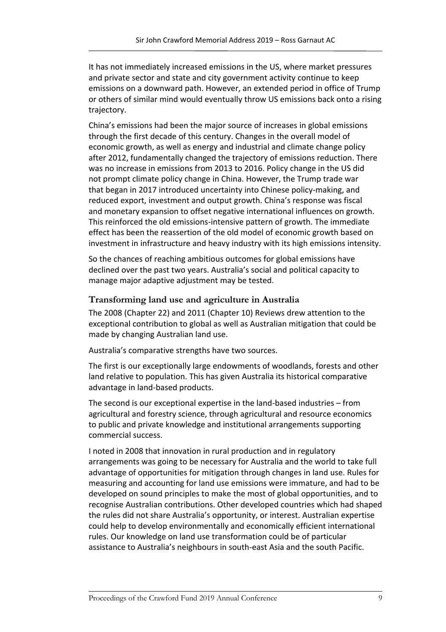It has not immediately increased emissions in the US, where market pressures and private sector and state and city government activity continue to keep emissions on a downward path. However, an extended period in office of Trump or others of similar mind would eventually throw US emissions back onto a rising trajectory.

China's emissions had been the major source of increases in global emissions through the first decade of this century. Changes in the overall model of economic growth, as well as energy and industrial and climate change policy after 2012, fundamentally changed the trajectory of emissions reduction. There was no increase in emissions from 2013 to 2016. Policy change in the US did not prompt climate policy change in China. However, the Trump trade war that began in 2017 introduced uncertainty into Chinese policy-making, and reduced export, investment and output growth. China's response was fiscal and monetary expansion to offset negative international influences on growth. This reinforced the old emissions-intensive pattern of growth. The immediate effect has been the reassertion of the old model of economic growth based on investment in infrastructure and heavy industry with its high emissions intensity.

So the chances of reaching ambitious outcomes for global emissions have declined over the past two years. Australia's social and political capacity to manage major adaptive adjustment may be tested.

## **Transforming land use and agriculture in Australia**

The 2008 (Chapter 22) and 2011 (Chapter 10) Reviews drew attention to the exceptional contribution to global as well as Australian mitigation that could be made by changing Australian land use.

Australia's comparative strengths have two sources.

The first is our exceptionally large endowments of woodlands, forests and other land relative to population. This has given Australia its historical comparative advantage in land-based products.

The second is our exceptional expertise in the land-based industries – from agricultural and forestry science, through agricultural and resource economics to public and private knowledge and institutional arrangements supporting commercial success.

I noted in 2008 that innovation in rural production and in regulatory arrangements was going to be necessary for Australia and the world to take full advantage of opportunities for mitigation through changes in land use. Rules for measuring and accounting for land use emissions were immature, and had to be developed on sound principles to make the most of global opportunities, and to recognise Australian contributions. Other developed countries which had shaped the rules did not share Australia's opportunity, or interest. Australian expertise could help to develop environmentally and economically efficient international rules. Our knowledge on land use transformation could be of particular assistance to Australia's neighbours in south-east Asia and the south Pacific.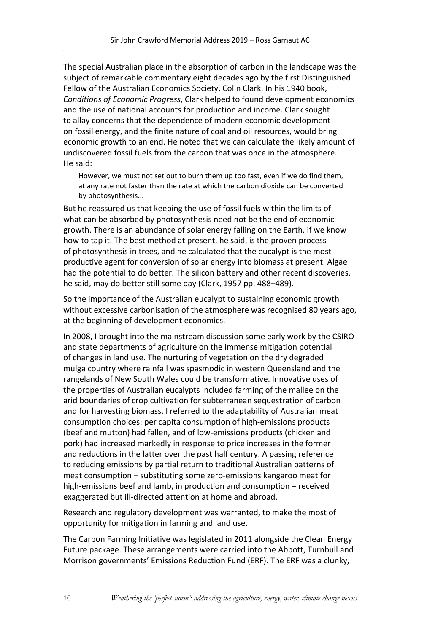The special Australian place in the absorption of carbon in the landscape was the subject of remarkable commentary eight decades ago by the first Distinguished Fellow of the Australian Economics Society, Colin Clark. In his 1940 book, *Conditions of Economic Progress*, Clark helped to found development economics and the use of national accounts for production and income. Clark sought to allay concerns that the dependence of modern economic development on fossil energy, and the finite nature of coal and oil resources, would bring economic growth to an end. He noted that we can calculate the likely amount of undiscovered fossil fuels from the carbon that was once in the atmosphere. He said:

However, we must not set out to burn them up too fast, even if we do find them, at any rate not faster than the rate at which the carbon dioxide can be converted by photosynthesis...

But he reassured us that keeping the use of fossil fuels within the limits of what can be absorbed by photosynthesis need not be the end of economic growth. There is an abundance of solar energy falling on the Earth, if we know how to tap it. The best method at present, he said, is the proven process of photosynthesis in trees, and he calculated that the eucalypt is the most productive agent for conversion of solar energy into biomass at present. Algae had the potential to do better. The silicon battery and other recent discoveries, he said, may do better still some day (Clark, 1957 pp. 488–489).

So the importance of the Australian eucalypt to sustaining economic growth without excessive carbonisation of the atmosphere was recognised 80 years ago, at the beginning of development economics.

In 2008, I brought into the mainstream discussion some early work by the CSIRO and state departments of agriculture on the immense mitigation potential of changes in land use. The nurturing of vegetation on the dry degraded mulga country where rainfall was spasmodic in western Queensland and the rangelands of New South Wales could be transformative. Innovative uses of the properties of Australian eucalypts included farming of the mallee on the arid boundaries of crop cultivation for subterranean sequestration of carbon and for harvesting biomass. I referred to the adaptability of Australian meat consumption choices: per capita consumption of high-emissions products (beef and mutton) had fallen, and of low-emissions products (chicken and pork) had increased markedly in response to price increases in the former and reductions in the latter over the past half century. A passing reference to reducing emissions by partial return to traditional Australian patterns of meat consumption – substituting some zero-emissions kangaroo meat for high-emissions beef and lamb, in production and consumption – received exaggerated but ill-directed attention at home and abroad.

Research and regulatory development was warranted, to make the most of opportunity for mitigation in farming and land use.

The Carbon Farming Initiative was legislated in 2011 alongside the Clean Energy Future package. These arrangements were carried into the Abbott, Turnbull and Morrison governments' Emissions Reduction Fund (ERF). The ERF was a clunky,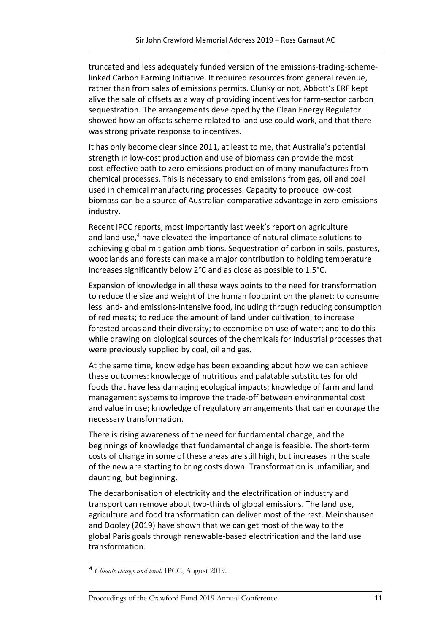truncated and less adequately funded version of the emissions-trading-schemelinked Carbon Farming Initiative. It required resources from general revenue, rather than from sales of emissions permits. Clunky or not, Abbott's ERF kept alive the sale of offsets as a way of providing incentives for farm-sector carbon sequestration. The arrangements developed by the Clean Energy Regulator showed how an offsets scheme related to land use could work, and that there was strong private response to incentives.

It has only become clear since 2011, at least to me, that Australia's potential strength in low-cost production and use of biomass can provide the most cost-effective path to zero-emissions production of many manufactures from chemical processes. This is necessary to end emissions from gas, oil and coal used in chemical manufacturing processes. Capacity to produce low-cost biomass can be a source of Australian comparative advantage in zero-emissions industry.

Recent IPCC reports, most importantly last week's report on agriculture and land use,<sup>4</sup> have elevated the importance of natural climate solutions to achieving global mitigation ambitions. Sequestration of carbon in soils, pastures, woodlands and forests can make a major contribution to holding temperature increases significantly below 2°C and as close as possible to 1.5°C.

Expansion of knowledge in all these ways points to the need for transformation to reduce the size and weight of the human footprint on the planet: to consume less land- and emissions-intensive food, including through reducing consumption of red meats; to reduce the amount of land under cultivation; to increase forested areas and their diversity; to economise on use of water; and to do this while drawing on biological sources of the chemicals for industrial processes that were previously supplied by coal, oil and gas.

At the same time, knowledge has been expanding about how we can achieve these outcomes: knowledge of nutritious and palatable substitutes for old foods that have less damaging ecological impacts; knowledge of farm and land management systems to improve the trade-off between environmental cost and value in use; knowledge of regulatory arrangements that can encourage the necessary transformation.

There is rising awareness of the need for fundamental change, and the beginnings of knowledge that fundamental change is feasible. The short-term costs of change in some of these areas are still high, but increases in the scale of the new are starting to bring costs down. Transformation is unfamiliar, and daunting, but beginning.

The decarbonisation of electricity and the electrification of industry and transport can remove about two-thirds of global emissions. The land use, agriculture and food transformation can deliver most of the rest. Meinshausen and Dooley (2019) have shown that we can get most of the way to the global Paris goals through renewable-based electrification and the land use transformation.

⁴ *Climate change and land*. IPCC, August 2019.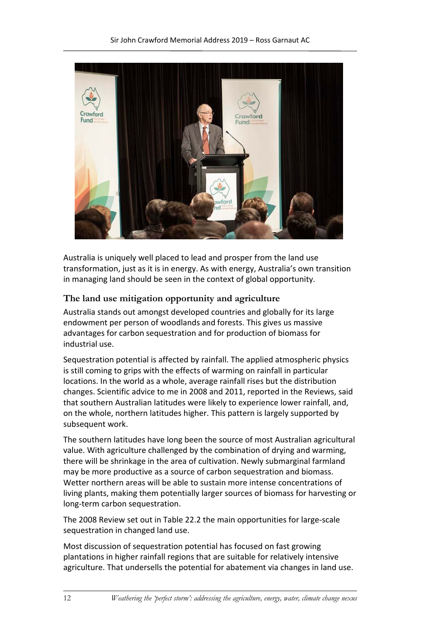

Australia is uniquely well placed to lead and prosper from the land use transformation, just as it is in energy. As with energy, Australia's own transition in managing land should be seen in the context of global opportunity.

## **The land use mitigation opportunity and agriculture**

Australia stands out amongst developed countries and globally for its large endowment per person of woodlands and forests. This gives us massive advantages for carbon sequestration and for production of biomass for industrial use.

Sequestration potential is affected by rainfall. The applied atmospheric physics is still coming to grips with the effects of warming on rainfall in particular locations. In the world as a whole, average rainfall rises but the distribution changes. Scientific advice to me in 2008 and 2011, reported in the Reviews, said that southern Australian latitudes were likely to experience lower rainfall, and, on the whole, northern latitudes higher. This pattern is largely supported by subsequent work.

The southern latitudes have long been the source of most Australian agricultural value. With agriculture challenged by the combination of drying and warming, there will be shrinkage in the area of cultivation. Newly submarginal farmland may be more productive as a source of carbon sequestration and biomass. Wetter northern areas will be able to sustain more intense concentrations of living plants, making them potentially larger sources of biomass for harvesting or long-term carbon sequestration.

The 2008 Review set out in Table 22.2 the main opportunities for large-scale sequestration in changed land use.

Most discussion of sequestration potential has focused on fast growing plantations in higher rainfall regions that are suitable for relatively intensive agriculture. That undersells the potential for abatement via changes in land use.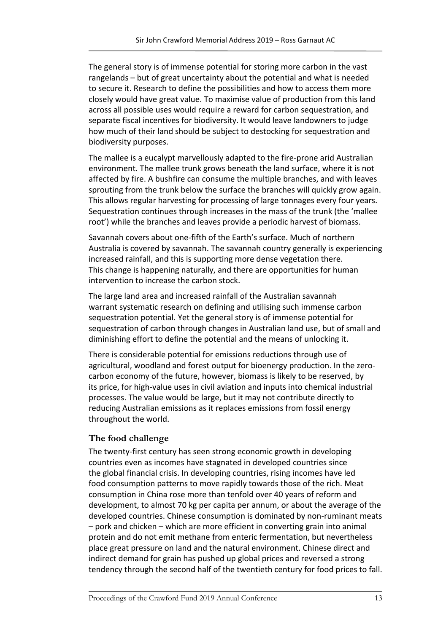The general story is of immense potential for storing more carbon in the vast rangelands – but of great uncertainty about the potential and what is needed to secure it. Research to define the possibilities and how to access them more closely would have great value. To maximise value of production from this land across all possible uses would require a reward for carbon sequestration, and separate fiscal incentives for biodiversity. It would leave landowners to judge how much of their land should be subject to destocking for sequestration and biodiversity purposes.

The mallee is a eucalypt marvellously adapted to the fire-prone arid Australian environment. The mallee trunk grows beneath the land surface, where it is not affected by fire. A bushfire can consume the multiple branches, and with leaves sprouting from the trunk below the surface the branches will quickly grow again. This allows regular harvesting for processing of large tonnages every four years. Sequestration continues through increases in the mass of the trunk (the 'mallee root') while the branches and leaves provide a periodic harvest of biomass.

Savannah covers about one-fifth of the Earth's surface. Much of northern Australia is covered by savannah. The savannah country generally is experiencing increased rainfall, and this is supporting more dense vegetation there. This change is happening naturally, and there are opportunities for human intervention to increase the carbon stock.

The large land area and increased rainfall of the Australian savannah warrant systematic research on defining and utilising such immense carbon sequestration potential. Yet the general story is of immense potential for sequestration of carbon through changes in Australian land use, but of small and diminishing effort to define the potential and the means of unlocking it.

There is considerable potential for emissions reductions through use of agricultural, woodland and forest output for bioenergy production. In the zerocarbon economy of the future, however, biomass is likely to be reserved, by its price, for high-value uses in civil aviation and inputs into chemical industrial processes. The value would be large, but it may not contribute directly to reducing Australian emissions as it replaces emissions from fossil energy throughout the world.

# **The food challenge**

The twenty-first century has seen strong economic growth in developing countries even as incomes have stagnated in developed countries since the global financial crisis. In developing countries, rising incomes have led food consumption patterns to move rapidly towards those of the rich. Meat consumption in China rose more than tenfold over 40 years of reform and development, to almost 70 kg per capita per annum, or about the average of the developed countries. Chinese consumption is dominated by non-ruminant meats – pork and chicken – which are more efficient in converting grain into animal protein and do not emit methane from enteric fermentation, but nevertheless place great pressure on land and the natural environment. Chinese direct and indirect demand for grain has pushed up global prices and reversed a strong tendency through the second half of the twentieth century for food prices to fall.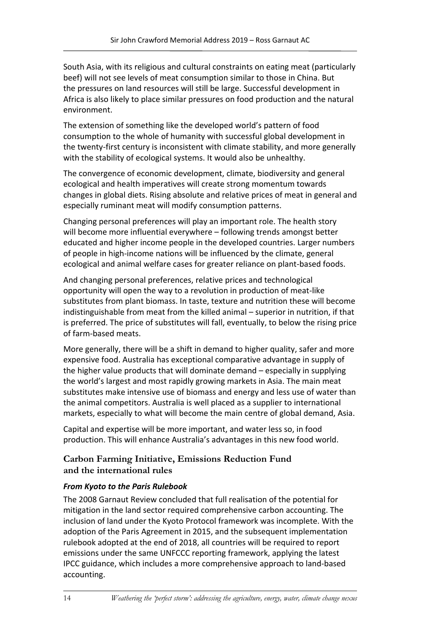South Asia, with its religious and cultural constraints on eating meat (particularly beef) will not see levels of meat consumption similar to those in China. But the pressures on land resources will still be large. Successful development in Africa is also likely to place similar pressures on food production and the natural environment.

The extension of something like the developed world's pattern of food consumption to the whole of humanity with successful global development in the twenty-first century is inconsistent with climate stability, and more generally with the stability of ecological systems. It would also be unhealthy.

The convergence of economic development, climate, biodiversity and general ecological and health imperatives will create strong momentum towards changes in global diets. Rising absolute and relative prices of meat in general and especially ruminant meat will modify consumption patterns.

Changing personal preferences will play an important role. The health story will become more influential everywhere – following trends amongst better educated and higher income people in the developed countries. Larger numbers of people in high-income nations will be influenced by the climate, general ecological and animal welfare cases for greater reliance on plant-based foods.

And changing personal preferences, relative prices and technological opportunity will open the way to a revolution in production of meat-like substitutes from plant biomass. In taste, texture and nutrition these will become indistinguishable from meat from the killed animal – superior in nutrition, if that is preferred. The price of substitutes will fall, eventually, to below the rising price of farm-based meats.

More generally, there will be a shift in demand to higher quality, safer and more expensive food. Australia has exceptional comparative advantage in supply of the higher value products that will dominate demand – especially in supplying the world's largest and most rapidly growing markets in Asia. The main meat substitutes make intensive use of biomass and energy and less use of water than the animal competitors. Australia is well placed as a supplier to international markets, especially to what will become the main centre of global demand, Asia.

Capital and expertise will be more important, and water less so, in food production. This will enhance Australia's advantages in this new food world.

# **Carbon Farming Initiative, Emissions Reduction Fund and the international rules**

# *From Kyoto to the Paris Rulebook*

The 2008 Garnaut Review concluded that full realisation of the potential for mitigation in the land sector required comprehensive carbon accounting. The inclusion of land under the Kyoto Protocol framework was incomplete. With the adoption of the Paris Agreement in 2015, and the subsequent implementation rulebook adopted at the end of 2018, all countries will be required to report emissions under the same UNFCCC reporting framework, applying the latest IPCC guidance, which includes a more comprehensive approach to land-based accounting.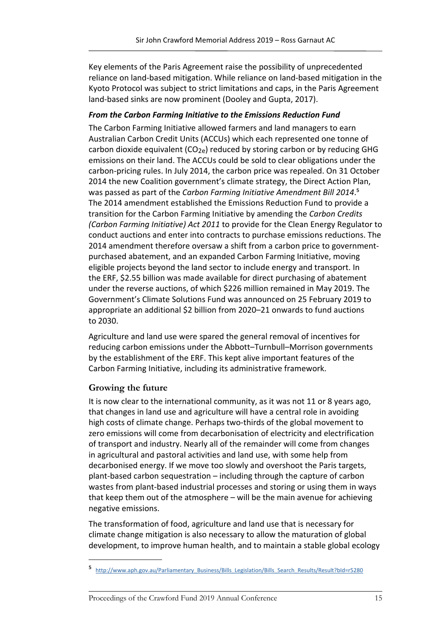Key elements of the Paris Agreement raise the possibility of unprecedented reliance on land-based mitigation. While reliance on land-based mitigation in the Kyoto Protocol was subject to strict limitations and caps, in the Paris Agreement land-based sinks are now prominent (Dooley and Gupta, 2017).

## *From the Carbon Farming Initiative to the Emissions Reduction Fund*

The Carbon Farming Initiative allowed farmers and land managers to earn Australian Carbon Credit Units (ACCUs) which each represented one tonne of carbon dioxide equivalent  $(CO_{2e})$  reduced by storing carbon or by reducing GHG emissions on their land. The ACCUs could be sold to clear obligations under the carbon-pricing rules. In July 2014, the carbon price was repealed. On 31 October 2014 the new Coalition government's climate strategy, the Direct Action Plan, was passed as part of the *Carbon Farming Initiative Amendment Bill 2014*.<sup>5</sup> The 2014 amendment established the Emissions Reduction Fund to provide a transition for the Carbon Farming Initiative by amending the *Carbon Credits (Carbon Farming Initiative) Act 2011* to provide for the Clean Energy Regulator to conduct auctions and enter into contracts to purchase emissions reductions. The 2014 amendment therefore oversaw a shift from a carbon price to governmentpurchased abatement, and an expanded Carbon Farming Initiative, moving eligible projects beyond the land sector to include energy and transport. In the ERF, \$2.55 billion was made available for direct purchasing of abatement under the reverse auctions, of which \$226 million remained in May 2019. The Government's Climate Solutions Fund was announced on 25 February 2019 to appropriate an additional \$2 billion from 2020–21 onwards to fund auctions to 2030.

Agriculture and land use were spared the general removal of incentives for reducing carbon emissions under the Abbott–Turnbull–Morrison governments by the establishment of the ERF. This kept alive important features of the Carbon Farming Initiative, including its administrative framework.

# **Growing the future**

It is now clear to the international community, as it was not 11 or 8 years ago, that changes in land use and agriculture will have a central role in avoiding high costs of climate change. Perhaps two-thirds of the global movement to zero emissions will come from decarbonisation of electricity and electrification of transport and industry. Nearly all of the remainder will come from changes in agricultural and pastoral activities and land use, with some help from decarbonised energy. If we move too slowly and overshoot the Paris targets, plant-based carbon sequestration – including through the capture of carbon wastes from plant-based industrial processes and storing or using them in ways that keep them out of the atmosphere – will be the main avenue for achieving negative emissions.

The transformation of food, agriculture and land use that is necessary for climate change mitigation is also necessary to allow the maturation of global development, to improve human health, and to maintain a stable global ecology

http://www.aph.gov.au/Parliamentary\_Business/Bills\_Legislation/Bills\_Search\_Results/Result?bId=r5280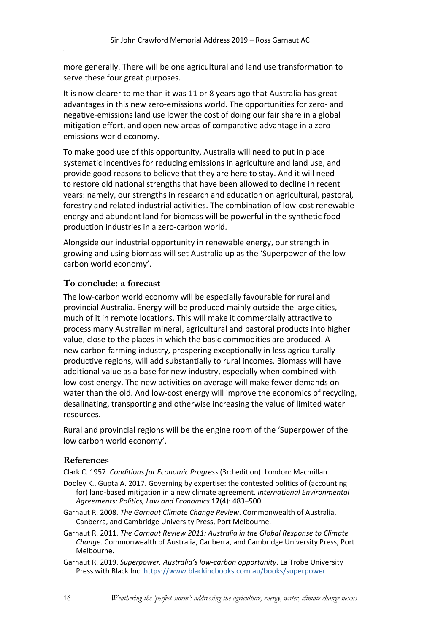more generally. There will be one agricultural and land use transformation to serve these four great purposes.

It is now clearer to me than it was 11 or 8 years ago that Australia has great advantages in this new zero-emissions world. The opportunities for zero- and negative-emissions land use lower the cost of doing our fair share in a global mitigation effort, and open new areas of comparative advantage in a zeroemissions world economy.

To make good use of this opportunity, Australia will need to put in place systematic incentives for reducing emissions in agriculture and land use, and provide good reasons to believe that they are here to stay. And it will need to restore old national strengths that have been allowed to decline in recent years: namely, our strengths in research and education on agricultural, pastoral, forestry and related industrial activities. The combination of low-cost renewable energy and abundant land for biomass will be powerful in the synthetic food production industries in a zero-carbon world.

Alongside our industrial opportunity in renewable energy, our strength in growing and using biomass will set Australia up as the 'Superpower of the lowcarbon world economy'.

## **To conclude: a forecast**

The low-carbon world economy will be especially favourable for rural and provincial Australia. Energy will be produced mainly outside the large cities, much of it in remote locations. This will make it commercially attractive to process many Australian mineral, agricultural and pastoral products into higher value, close to the places in which the basic commodities are produced. A new carbon farming industry, prospering exceptionally in less agriculturally productive regions, will add substantially to rural incomes. Biomass will have additional value as a base for new industry, especially when combined with low-cost energy. The new activities on average will make fewer demands on water than the old. And low-cost energy will improve the economics of recycling, desalinating, transporting and otherwise increasing the value of limited water resources.

Rural and provincial regions will be the engine room of the 'Superpower of the low carbon world economy'.

# **References**

Clark C. 1957. *Conditions for Economic Progress* (3rd edition). London: Macmillan.

- Dooley K., Gupta A. 2017. Governing by expertise: the contested politics of (accounting for) land-based mitigation in a new climate agreement. *International Environmental Agreements: Politics, Law and Economics* **17**(4): 483–500.
- Garnaut R. 2008. *The Garnaut Climate Change Review*. Commonwealth of Australia, Canberra, and Cambridge University Press, Port Melbourne.
- Garnaut R. 2011. *The Garnaut Review 2011: Australia in the Global Response to Climate Change*. Commonwealth of Australia, Canberra, and Cambridge University Press, Port Melbourne.
- Garnaut R. 2019. *Superpower. Australia's low-carbon opportunity*. La Trobe University Press with Black Inc. [https://www.blackincbooks.com.au/books/superpower](https://www.blackincbooks.com.au/books/superpower )